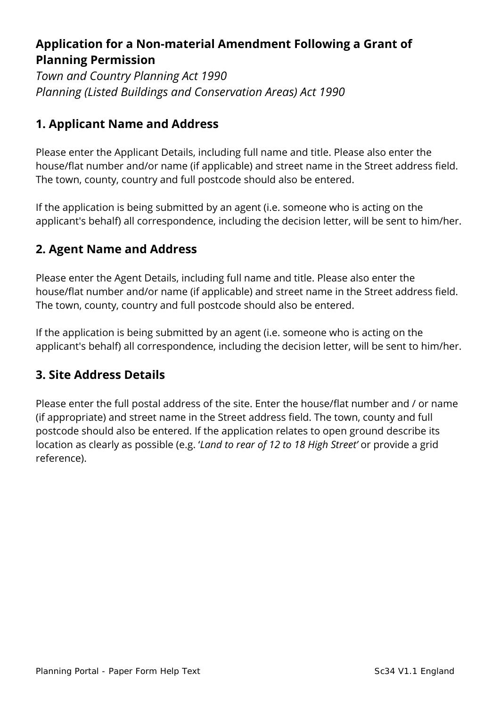# **Application for a Non-material Amendment Following a Grant of Planning Permission**

*Town and Country Planning Act 1990 Planning (Listed Buildings and Conservation Areas) Act 1990* 

## **1. Applicant Name and Address**

Please enter the Applicant Details, including full name and title. Please also enter the house/flat number and/or name (if applicable) and street name in the Street address field. The town, county, country and full postcode should also be entered.

If the application is being submitted by an agent (i.e. someone who is acting on the applicant's behalf) all correspondence, including the decision letter, will be sent to him/her.

## **2. Agent Name and Address**

Please enter the Agent Details, including full name and title. Please also enter the house/flat number and/or name (if applicable) and street name in the Street address field. The town, county, country and full postcode should also be entered.

If the application is being submitted by an agent (i.e. someone who is acting on the applicant's behalf) all correspondence, including the decision letter, will be sent to him/her.

## **3. Site Address Details**

Please enter the full postal address of the site. Enter the house/flat number and / or name (if appropriate) and street name in the Street address field. The town, county and full postcode should also be entered. If the application relates to open ground describe its location as clearly as possible (e.g. '*Land to rear of 12 to 18 High Street'* or provide a grid reference).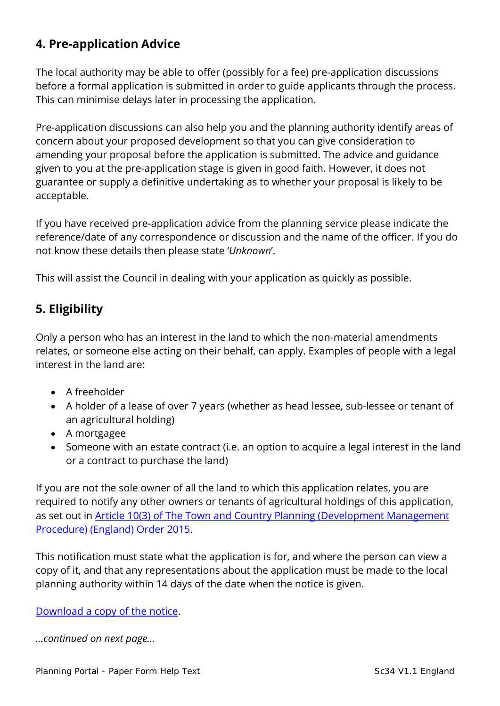## **4. Pre-application Advice**

The local authority may be able to offer (possibly for a fee) pre-application discussions before a formal application is submitted in order to guide applicants through the process. This can minimise delays later in processing the application.

Pre-application discussions can also help you and the planning authority identify areas of concern about your proposed development so that you can give consideration to amending your proposal before the application is submitted. The advice and guidance given to you at the pre-application stage is given in good faith. However, it does not guarantee or supply a definitive undertaking as to whether your proposal is likely to be acceptable.

If you have received pre-application advice from the planning service please indicate the reference/date of any correspondence or discussion and the name of the officer. If you do not know these details then please state '*Unknown*'.

This will assist the Council in dealing with your application as quickly as possible.

## **5. Eligibility**

Only a person who has an interest in the land to which the non-material amendments relates, or someone else acting on their behalf, can apply. Examples of people with a legal interest in the land are:

- A freeholder
- A holder of a lease of over 7 years (whether as head lessee, sub-lessee or tenant of an agricultural holding)
- A mortgagee
- Someone with an estate contract (i.e. an option to acquire a legal interest in the land or a contract to purchase the land)

If you are not the sole owner of all the land to which this application relates, you are required to notify any other owners or tenants of agricultural holdings of this application, as set out in **Article 10(3) of The Town and Country Planning (Development Management** [Procedure\) \(England\) Order 2015.](http://www.legislation.gov.uk/uksi/2015/595/article/10/made)

This notification must state what the application is for, and where the person can view a copy of it, and that any representations about the application must be made to the local planning authority within 14 days of the date when the notice is given.

[Download a copy of the notice.](https://ecab.planningportal.co.uk/uploads/1app/notices/nma_notice.pdf)

*…continued on next page…*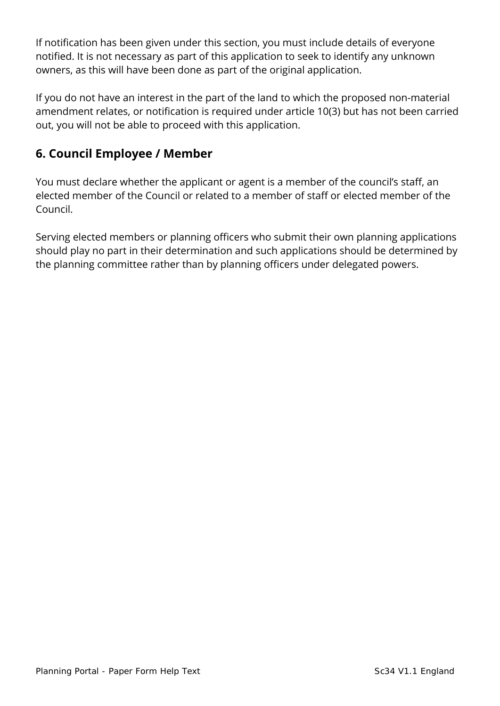If notification has been given under this section, you must include details of everyone notified. It is not necessary as part of this application to seek to identify any unknown owners, as this will have been done as part of the original application.

If you do not have an interest in the part of the land to which the proposed non-material amendment relates, or notification is required under article 10(3) but has not been carried out, you will not be able to proceed with this application.

## **6. Council Employee / Member**

You must declare whether the applicant or agent is a member of the council's staff, an elected member of the Council or related to a member of staff or elected member of the Council.

Serving elected members or planning officers who submit their own planning applications should play no part in their determination and such applications should be determined by the planning committee rather than by planning officers under delegated powers.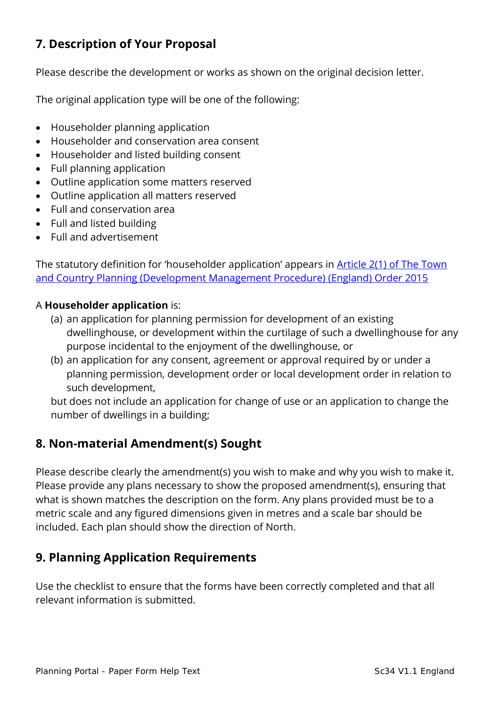# **7. Description of Your Proposal**

Please describe the development or works as shown on the original decision letter.

The original application type will be one of the following:

- Householder planning application
- Householder and conservation area consent
- Householder and listed building consent
- Full planning application
- Outline application some matters reserved
- Outline application all matters reserved
- Full and conservation area
- Full and listed building
- Full and advertisement

The statutory definition for 'householder application' appears in [Article 2\(1\) of The Town](http://www.legislation.gov.uk/uksi/2015/595/article/2/made)  [and Country Planning \(Development Management Procedure\) \(England\) Order 2015](http://www.legislation.gov.uk/uksi/2015/595/article/2/made)

#### A **Householder application** is:

- (a) an application for planning permission for development of an existing dwellinghouse, or development within the curtilage of such a dwellinghouse for any purpose incidental to the enjoyment of the dwellinghouse, or
- (b) an application for any consent, agreement or approval required by or under a planning permission, development order or local development order in relation to such development,

but does not include an application for change of use or an application to change the number of dwellings in a building;

## **8. Non-material Amendment(s) Sought**

Please describe clearly the amendment(s) you wish to make and why you wish to make it. Please provide any plans necessary to show the proposed amendment(s), ensuring that what is shown matches the description on the form. Any plans provided must be to a metric scale and any figured dimensions given in metres and a scale bar should be included. Each plan should show the direction of North.

## **9. Planning Application Requirements**

Use the checklist to ensure that the forms have been correctly completed and that all relevant information is submitted.